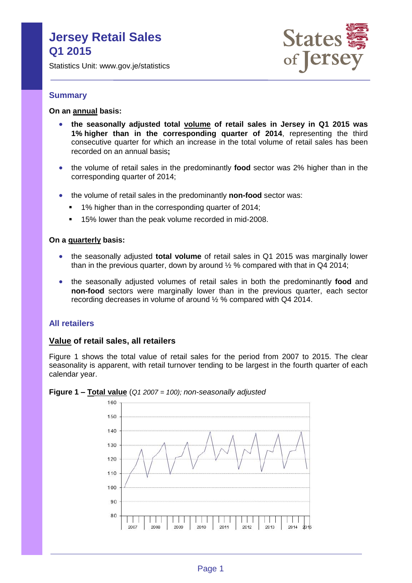# **Jersey Retail Sales Q1 2015**

Statistics Unit: www.gov.je/statistics



# **Summary**

#### **On an annual basis:**

- **the seasonally adjusted total volume of retail sales in Jersey in Q1 2015 was 1% higher than in the corresponding quarter of 2014**, representing the third consecutive quarter for which an increase in the total volume of retail sales has been recorded on an annual basis**;**
- the volume of retail sales in the predominantly **food** sector was 2% higher than in the corresponding quarter of 2014;
- the volume of retail sales in the predominantly **non-food** sector was:
	- <sup>1</sup> 1% higher than in the corresponding quarter of 2014;
	- 15% lower than the peak volume recorded in mid-2008.

#### **On a quarterly basis:**

- the seasonally adjusted **total volume** of retail sales in Q1 2015 was marginally lower than in the previous quarter, down by around ½ % compared with that in Q4 2014;
- the seasonally adjusted volumes of retail sales in both the predominantly **food** and **non-food** sectors were marginally lower than in the previous quarter, each sector recording decreases in volume of around ½ % compared with Q4 2014.

# **All retailers**

## **Value of retail sales, all retailers**

Figure 1 shows the total value of retail sales for the period from 2007 to 2015. The clear seasonality is apparent, with retail turnover tending to be largest in the fourth quarter of each calendar year.



## **Figure 1 – Total value** (*Q1 2007 = 100); non-seasonally adjusted*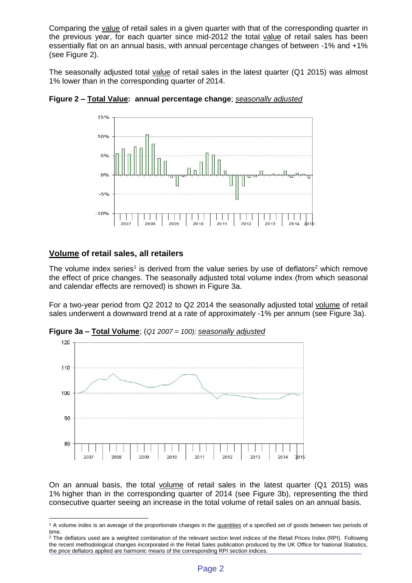Comparing the value of retail sales in a given quarter with that of the corresponding quarter in the previous year, for each quarter since mid-2012 the total value of retail sales has been essentially flat on an annual basis, with annual percentage changes of between -1% and +1% (see Figure 2).

The seasonally adjusted total value of retail sales in the latest quarter (Q1 2015) was almost 1% lower than in the corresponding quarter of 2014.





# **Volume of retail sales, all retailers**

 $\overline{a}$ 

The volume index series<sup>1</sup> is derived from the value series by use of deflators<sup>2</sup> which remove the effect of price changes. The seasonally adjusted total volume index (from which seasonal and calendar effects are removed) is shown in Figure 3a.

For a two-year period from Q2 2012 to Q2 2014 the seasonally adjusted total volume of retail sales underwent a downward trend at a rate of approximately -1% per annum (see Figure 3a).



**Figure 3a – Total Volume**; (*Q1 2007 = 100); seasonally adjusted*

On an annual basis, the total volume of retail sales in the latest quarter (Q1 2015) was 1% higher than in the corresponding quarter of 2014 (see Figure 3b), representing the third consecutive quarter seeing an increase in the total volume of retail sales on an annual basis.

<sup>&</sup>lt;sup>1</sup> A volume index is an average of the proportionate changes in the quantities of a specified set of goods between two periods of time.

<sup>&</sup>lt;sup>2</sup> The deflators used are a weighted combination of the relevant section level indices of the Retail Prices Index (RPI). Following the recent methodological changes incorporated in the Retail Sales publication produced by the UK Office for National Statistics, the price deflators applied are harmonic means of the corresponding RPI section indices.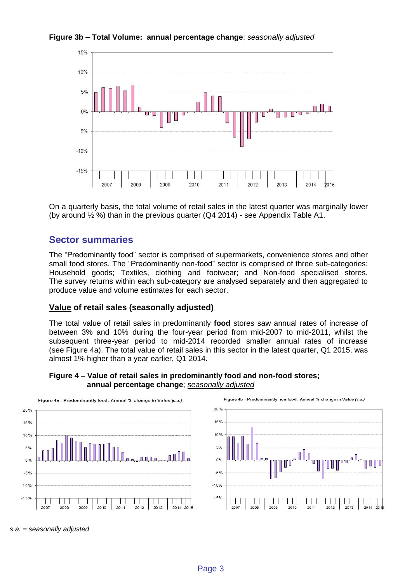



On a quarterly basis, the total volume of retail sales in the latest quarter was marginally lower (by around ½ %) than in the previous quarter (Q4 2014) - see Appendix Table A1.

# **Sector summaries**

The "Predominantly food" sector is comprised of supermarkets, convenience stores and other small food stores. The "Predominantly non-food" sector is comprised of three sub-categories: Household goods; Textiles, clothing and footwear; and Non-food specialised stores. The survey returns within each sub-category are analysed separately and then aggregated to produce value and volume estimates for each sector.

# **Value of retail sales (seasonally adjusted)**

The total value of retail sales in predominantly **food** stores saw annual rates of increase of between 3% and 10% during the four-year period from mid-2007 to mid-2011, whilst the subsequent three-year period to mid-2014 recorded smaller annual rates of increase (see Figure 4a). The total value of retail sales in this sector in the latest quarter, Q1 2015, was almost 1% higher than a year earlier, Q1 2014.







*s.a. = seasonally adjusted*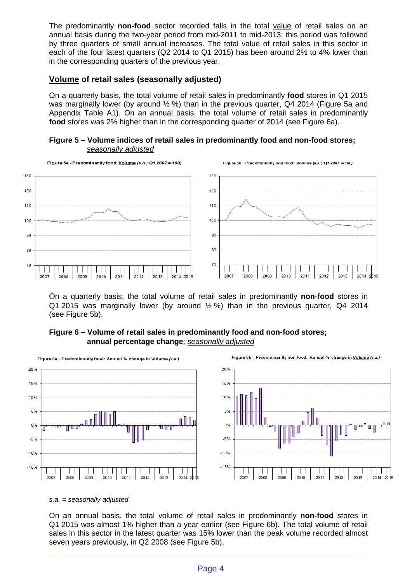The predominantly **non-food** sector recorded falls in the total value of retail sales on an annual basis during the two-year period from mid-2011 to mid-2013; this period was followed by three quarters of small annual increases. The total value of retail sales in this sector in each of the four latest quarters (Q2 2014 to Q1 2015) has been around 2% to 4% lower than in the corresponding quarters of the previous year.

# **Volume of retail sales (seasonally adjusted)**

On a quarterly basis, the total volume of retail sales in predominantly **food** stores in Q1 2015 was marginally lower (by around  $\frac{1}{2}$  %) than in the previous quarter, Q4 2014 (Figure 5a and Appendix Table A1). On an annual basis, the total volume of retail sales in predominantly **food** stores was 2% higher than in the corresponding quarter of 2014 (see Figure 6a).

#### **Figure 5 – Volume indices of retail sales in predominantly food and non-food stores;** *seasonally adjusted*



On a quarterly basis, the total volume of retail sales in predominantly **non-food** stores in Q1 2015 was marginally lower (by around  $\frac{1}{2}$ %) than in the previous quarter, Q4 2014 (see Figure 5b).

# **Figure 6 – Volume of retail sales in predominantly food and non-food stores; annual percentage change**; *seasonally adjusted*



#### *s.a. = seasonally adjusted*

On an annual basis, the total volume of retail sales in predominantly **non-food** stores in Q1 2015 was almost 1% higher than a year earlier (see Figure 6b). The total volume of retail sales in this sector in the latest quarter was 15% lower than the peak volume recorded almost seven years previously, in Q2 2008 (see Figure 5b).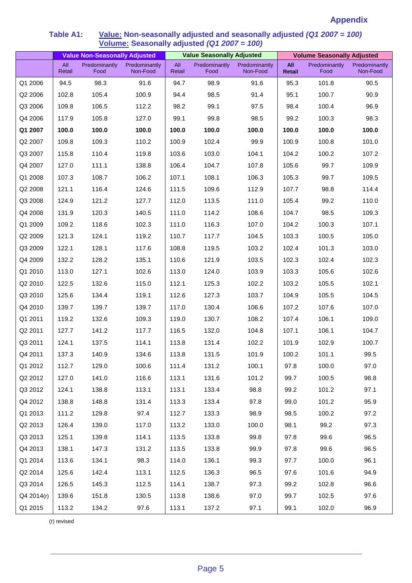# **Appendix**

|            | <b>Value Non-Seasonally Adjusted</b> |                       |                           | <b>Value Seasonally Adjusted</b> |                       |                           | <b>Volume Seasonally Adjusted</b> |                       |                           |
|------------|--------------------------------------|-----------------------|---------------------------|----------------------------------|-----------------------|---------------------------|-----------------------------------|-----------------------|---------------------------|
|            | All<br>Retail                        | Predominantly<br>Food | Predominantly<br>Non-Food | All<br>Retail                    | Predominantly<br>Food | Predominantly<br>Non-Food | All<br>Retail                     | Predominantly<br>Food | Predominantly<br>Non-Food |
| Q1 2006    | 94.5                                 | 98.3                  | 91.6                      | 94.7                             | 98.9                  | 91.6                      | 95.3                              | 101.8                 | 90.5                      |
| Q2 2006    | 102.8                                | 105.4                 | 100.9                     | 94.4                             | 98.5                  | 91.4                      | 95.1                              | 100.7                 | 90.9                      |
| Q3 2006    | 109.8                                | 106.5                 | 112.2                     | 98.2                             | 99.1                  | 97.5                      | 98.4                              | 100.4                 | 96.9                      |
| Q4 2006    | 117.9                                | 105.8                 | 127.0                     | 99.1                             | 99.8                  | 98.5                      | 99.2                              | 100.3                 | 98.3                      |
| Q1 2007    | 100.0                                | 100.0                 | 100.0                     | 100.0                            | 100.0                 | 100.0                     | 100.0                             | 100.0                 | 100.0                     |
| Q2 2007    | 109.8                                | 109.3                 | 110.2                     | 100.9                            | 102.4                 | 99.9                      | 100.9                             | 100.8                 | 101.0                     |
| Q3 2007    | 115.8                                | 110.4                 | 119.8                     | 103.6                            | 103.0                 | 104.1                     | 104.2                             | 100.2                 | 107.2                     |
| Q4 2007    | 127.0                                | 111.1                 | 138.8                     | 106.4                            | 104.7                 | 107.8                     | 105.6                             | 99.7                  | 109.9                     |
| Q1 2008    | 107.3                                | 108.7                 | 106.2                     | 107.1                            | 108.1                 | 106.3                     | 105.3                             | 99.7                  | 109.5                     |
| Q2 2008    | 121.1                                | 116.4                 | 124.6                     | 111.5                            | 109.6                 | 112.9                     | 107.7                             | 98.8                  | 114.4                     |
| Q3 2008    | 124.9                                | 121.2                 | 127.7                     | 112.0                            | 113.5                 | 111.0                     | 105.4                             | 99.2                  | 110.0                     |
| Q4 2008    | 131.9                                | 120.3                 | 140.5                     | 111.0                            | 114.2                 | 108.6                     | 104.7                             | 98.5                  | 109.3                     |
| Q1 2009    | 109.2                                | 118.6                 | 102.3                     | 111.0                            | 116.3                 | 107.0                     | 104.2                             | 100.3                 | 107.1                     |
| Q2 2009    | 121.3                                | 124.1                 | 119.2                     | 110.7                            | 117.7                 | 104.5                     | 103.3                             | 100.5                 | 105.0                     |
| Q3 2009    | 122.1                                | 128.1                 | 117.6                     | 108.8                            | 119.5                 | 103.2                     | 102.4                             | 101.3                 | 103.0                     |
| Q4 2009    | 132.2                                | 128.2                 | 135.1                     | 110.6                            | 121.9                 | 103.5                     | 102.3                             | 102.4                 | 102.3                     |
| Q1 2010    | 113.0                                | 127.1                 | 102.6                     | 113.0                            | 124.0                 | 103.9                     | 103.3                             | 105.6                 | 102.6                     |
| Q2 2010    | 122.5                                | 132.6                 | 115.0                     | 112.1                            | 125.3                 | 102.2                     | 103.2                             | 105.5                 | 102.1                     |
| Q3 2010    | 125.6                                | 134.4                 | 119.1                     | 112.6                            | 127.3                 | 103.7                     | 104.9                             | 105.5                 | 104.5                     |
| Q4 2010    | 139.7                                | 139.7                 | 139.7                     | 117.0                            | 130.4                 | 106.6                     | 107.2                             | 107.6                 | 107.0                     |
| Q1 2011    | 119.2                                | 132.6                 | 109.3                     | 119.0                            | 130.7                 | 108.2                     | 107.4                             | 106.1                 | 109.0                     |
| Q2 2011    | 127.7                                | 141.2                 | 117.7                     | 116.5                            | 132.0                 | 104.8                     | 107.1                             | 106.1                 | 104.7                     |
| Q3 2011    | 124.1                                | 137.5                 | 114.1                     | 113.8                            | 131.4                 | 102.2                     | 101.9                             | 102.9                 | 100.7                     |
| Q4 2011    | 137.3                                | 140.9                 | 134.6                     | 113.8                            | 131.5                 | 101.9                     | 100.2                             | 101.1                 | 99.5                      |
| Q1 2012    | 112.7                                | 129.0                 | 100.6                     | 111.4                            | 131.2                 | 100.1                     | 97.8                              | 100.0                 | 97.0                      |
| Q2 2012    | 127.0                                | 141.0                 | 116.6                     | 113.1                            | 131.6                 | 101.2                     | 99.7                              | 100.5                 | 98.8                      |
| Q3 2012    | 124.1                                | 138.8                 | 113.1                     | 113.1                            | 133.4                 | 98.8                      | 99.2                              | 101.2                 | 97.1                      |
| Q4 2012    | 138.8                                | 148.8                 | 131.4                     | 113.3                            | 133.4                 | 97.8                      | 99.0                              | 101.2                 | 95.9                      |
| Q1 2013    | 111.2                                | 129.8                 | 97.4                      | 112.7                            | 133.3                 | 98.9                      | 98.5                              | 100.2                 | 97.2                      |
| Q2 2013    | 126.4                                | 139.0                 | 117.0                     | 113.2                            | 133.0                 | 100.0                     | 98.1                              | 99.2                  | 97.3                      |
| Q3 2013    | 125.1                                | 139.8                 | 114.1                     | 113.5                            | 133.8                 | 99.8                      | 97.8                              | 99.6                  | 96.5                      |
| Q4 2013    | 138.1                                | 147.3                 | 131.2                     | 113.5                            | 133.8                 | 99.9                      | 97.8                              | 99.6                  | 96.5                      |
| Q1 2014    | 113.6                                | 134.1                 | 98.3                      | 114.0                            | 136.1                 | 99.3                      | 97.7                              | 100.0                 | 96.1                      |
| Q2 2014    | 125.6                                | 142.4                 | 113.1                     | 112.5                            | 136.3                 | 96.5                      | 97.6                              | 101.6                 | 94.9                      |
| Q3 2014    | 126.5                                | 145.3                 | 112.5                     | 114.1                            | 138.7                 | 97.3                      | 99.2                              | 102.8                 | 96.6                      |
| Q4 2014(r) | 139.6                                | 151.8                 | 130.5                     | 113.8                            | 138.6                 | 97.0                      | 99.7                              | 102.5                 | 97.6                      |
| Q1 2015    | 113.2                                | 134.2                 | 97.6                      | 113.1                            | 137.2                 | 97.1                      | 99.1                              | 102.0                 | 96.9                      |

## **Table A1: Value: Non-seasonally adjusted and seasonally adjusted** *(Q1 2007 = 100)* **Volume: Seasonally adjusted** *(Q1 2007 = 100)*

(r) revised